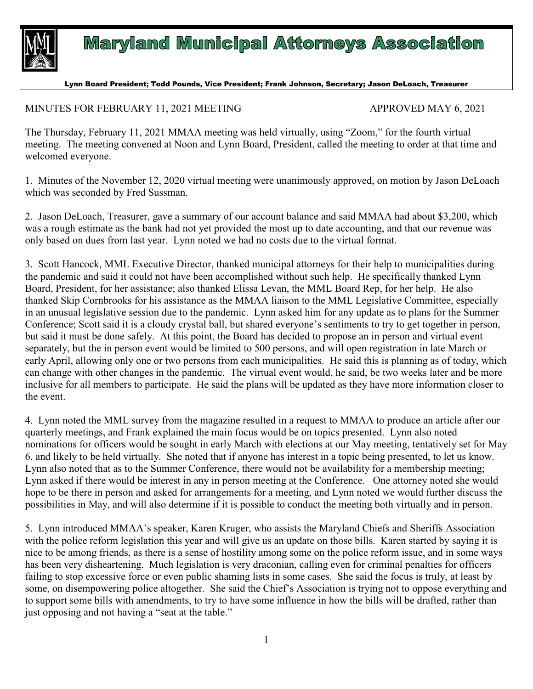

## **Maryland Municipal Attorneys Association**

## Lynn Board President; Todd Pounds, Vice President; Frank Johnson, Secretary; Jason DeLoach, Treasurer

## MINUTES FOR FEBRUARY 11, 2021 MEETING APPROVED MAY 6, 2021

The Thursday, February 11, 2021 MMAA meeting was held virtually, using "Zoom," for the fourth virtual meeting. The meeting convened at Noon and Lynn Board, President, called the meeting to order at that time and welcomed everyone.

1. Minutes of the November 12, 2020 virtual meeting were unanimously approved, on motion by Jason DeLoach which was seconded by Fred Sussman.

2. Jason DeLoach, Treasurer, gave a summary of our account balance and said MMAA had about \$3,200, which was a rough estimate as the bank had not yet provided the most up to date accounting, and that our revenue was only based on dues from last year. Lynn noted we had no costs due to the virtual format.

3. Scott Hancock, MML Executive Director, thanked municipal attorneys for their help to municipalities during the pandemic and said it could not have been accomplished without such help. He specifically thanked Lynn Board, President, for her assistance; also thanked Elissa Levan, the MML Board Rep, for her help. He also thanked Skip Cornbrooks for his assistance as the MMAA liaison to the MML Legislative Committee, especially in an unusual legislative session due to the pandemic. Lynn asked him for any update as to plans for the Summer Conference; Scott said it is a cloudy crystal ball, but shared everyone's sentiments to try to get together in person, but said it must be done safely. At this point, the Board has decided to propose an in person and virtual event separately, but the in person event would be limited to 500 persons, and will open registration in late March or early April, allowing only one or two persons from each municipalities. He said this is planning as of today, which can change with other changes in the pandemic. The virtual event would, he said, be two weeks later and be more inclusive for all members to participate. He said the plans will be updated as they have more information closer to the event.

4. Lynn noted the MML survey from the magazine resulted in a request to MMAA to produce an article after our quarterly meetings, and Frank explained the main focus would be on topics presented. Lynn also noted nominations for officers would be sought in early March with elections at our May meeting, tentatively set for May 6, and likely to be held virtually. She noted that if anyone has interest in a topic being presented, to let us know. Lynn also noted that as to the Summer Conference, there would not be availability for a membership meeting; Lynn asked if there would be interest in any in person meeting at the Conference. One attorney noted she would hope to be there in person and asked for arrangements for a meeting, and Lynn noted we would further discuss the possibilities in May, and will also determine if it is possible to conduct the meeting both virtually and in person.

5. Lynn introduced MMAA's speaker, Karen Kruger, who assists the Maryland Chiefs and Sheriffs Association with the police reform legislation this year and will give us an update on those bills. Karen started by saying it is nice to be among friends, as there is a sense of hostility among some on the police reform issue, and in some ways has been very disheartening. Much legislation is very draconian, calling even for criminal penalties for officers failing to stop excessive force or even public shaming lists in some cases. She said the focus is truly, at least by some, on disempowering police altogether. She said the Chief's Association is trying not to oppose everything and to support some bills with amendments, to try to have some influence in how the bills will be drafted, rather than just opposing and not having a "seat at the table."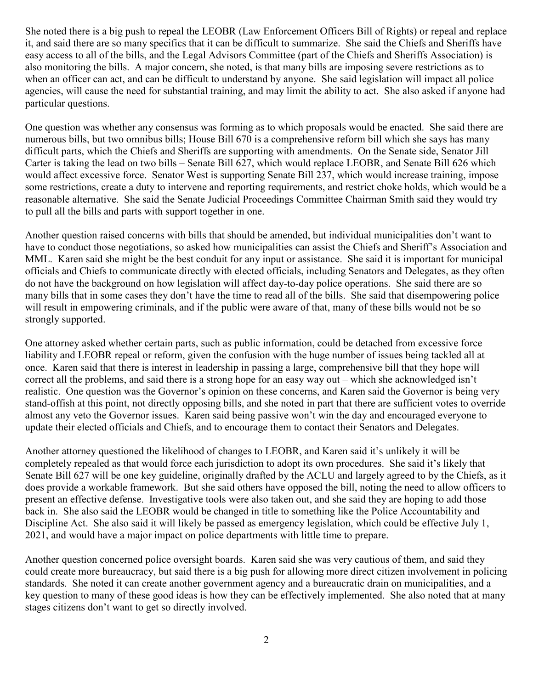She noted there is a big push to repeal the LEOBR (Law Enforcement Officers Bill of Rights) or repeal and replace it, and said there are so many specifics that it can be difficult to summarize. She said the Chiefs and Sheriffs have easy access to all of the bills, and the Legal Advisors Committee (part of the Chiefs and Sheriffs Association) is also monitoring the bills. A major concern, she noted, is that many bills are imposing severe restrictions as to when an officer can act, and can be difficult to understand by anyone. She said legislation will impact all police agencies, will cause the need for substantial training, and may limit the ability to act. She also asked if anyone had particular questions.

One question was whether any consensus was forming as to which proposals would be enacted. She said there are numerous bills, but two omnibus bills; House Bill 670 is a comprehensive reform bill which she says has many difficult parts, which the Chiefs and Sheriffs are supporting with amendments. On the Senate side, Senator Jill Carter is taking the lead on two bills – Senate Bill 627, which would replace LEOBR, and Senate Bill 626 which would affect excessive force. Senator West is supporting Senate Bill 237, which would increase training, impose some restrictions, create a duty to intervene and reporting requirements, and restrict choke holds, which would be a reasonable alternative. She said the Senate Judicial Proceedings Committee Chairman Smith said they would try to pull all the bills and parts with support together in one.

Another question raised concerns with bills that should be amended, but individual municipalities don't want to have to conduct those negotiations, so asked how municipalities can assist the Chiefs and Sheriff's Association and MML. Karen said she might be the best conduit for any input or assistance. She said it is important for municipal officials and Chiefs to communicate directly with elected officials, including Senators and Delegates, as they often do not have the background on how legislation will affect day-to-day police operations. She said there are so many bills that in some cases they don't have the time to read all of the bills. She said that disempowering police will result in empowering criminals, and if the public were aware of that, many of these bills would not be so strongly supported.

One attorney asked whether certain parts, such as public information, could be detached from excessive force liability and LEOBR repeal or reform, given the confusion with the huge number of issues being tackled all at once. Karen said that there is interest in leadership in passing a large, comprehensive bill that they hope will correct all the problems, and said there is a strong hope for an easy way out – which she acknowledged isn't realistic. One question was the Governor's opinion on these concerns, and Karen said the Governor is being very stand-offish at this point, not directly opposing bills, and she noted in part that there are sufficient votes to override almost any veto the Governor issues. Karen said being passive won't win the day and encouraged everyone to update their elected officials and Chiefs, and to encourage them to contact their Senators and Delegates.

Another attorney questioned the likelihood of changes to LEOBR, and Karen said it's unlikely it will be completely repealed as that would force each jurisdiction to adopt its own procedures. She said it's likely that Senate Bill 627 will be one key guideline, originally drafted by the ACLU and largely agreed to by the Chiefs, as it does provide a workable framework. But she said others have opposed the bill, noting the need to allow officers to present an effective defense. Investigative tools were also taken out, and she said they are hoping to add those back in. She also said the LEOBR would be changed in title to something like the Police Accountability and Discipline Act. She also said it will likely be passed as emergency legislation, which could be effective July 1, 2021, and would have a major impact on police departments with little time to prepare.

Another question concerned police oversight boards. Karen said she was very cautious of them, and said they could create more bureaucracy, but said there is a big push for allowing more direct citizen involvement in policing standards. She noted it can create another government agency and a bureaucratic drain on municipalities, and a key question to many of these good ideas is how they can be effectively implemented. She also noted that at many stages citizens don't want to get so directly involved.